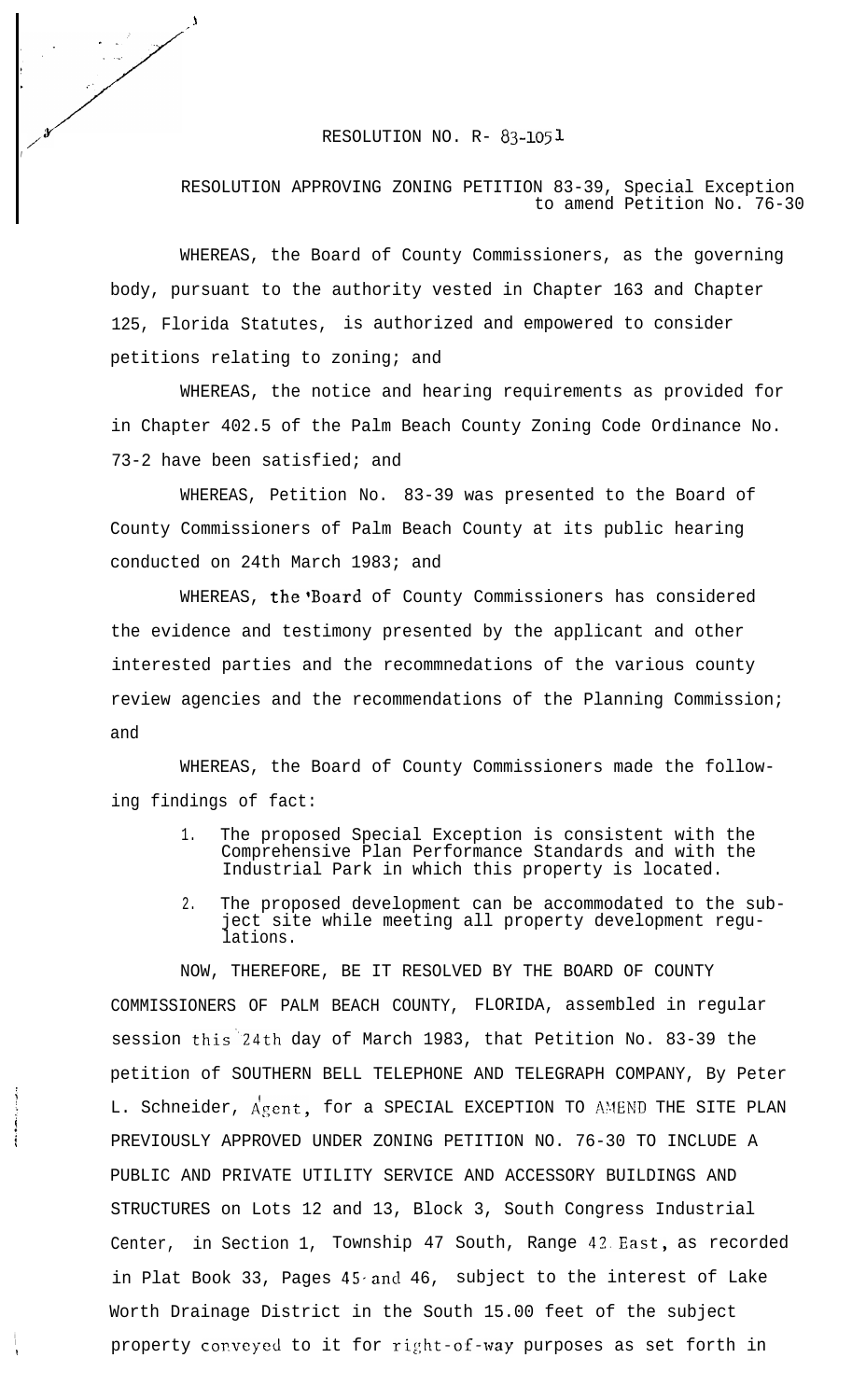## **t**<br>**RESOLUTION NO. R- 83-1051**

**\_- <sup>1</sup>**

**. . \_,**

,

i I

 $\ddot{\bullet}$ 

## RESOLUTION APPROVING ZONING PETITION 83-39, Special Exception to amend Petition No. 76-30

WHEREAS, the Board of County Commissioners, as the governing body, pursuant to the authority vested in Chapter 163 and Chapter 125, Florida Statutes, is authorized and empowered to consider petitions relating to zoning; and

WHEREAS, the notice and hearing requirements as provided for in Chapter 402.5 of the Palm Beach County Zoning Code Ordinance No. 73-2 have been satisfied; and

WHEREAS, Petition No. 83-39 was presented to the Board of County Commissioners of Palm Beach County at its public hearing conducted on 24th March 1983; and

WHEREAS, the 'Board of County Commissioners has considered the evidence and testimony presented by the applicant and other interested parties and the recommnedations of the various county review agencies and the recommendations of the Planning Commission; and

WHEREAS, the Board of County Commissioners made the following findings of fact:

- 1. The proposed Special Exception is consistent with the Comprehensive Plan Performance Standards and with the Industrial Park in which this property is located.
- 2. The proposed development can be accommodated to the subject site while meeting all property development regulations.

NOW, THEREFORE, BE IT RESOLVED BY THE BOARD OF COUNTY COMMISSIONERS OF PALM BEACH COUNTY, FLORIDA, assembled in regular session this"24th day of March 1983, that Petition No. 83-39 the petition of SOUTHERN BELL TELEPHONE AND TELEGRAPH COMPANY, By Peter L. Schneider, Agent, for a SPECIAL EXCEPTION TO AMEND THE SITE PLAN PREVIOUSLY APPROVED UNDER ZONING PETITION NO. 76-30 TO INCLUDE A PUBLIC AND PRIVATE UTILITY SERVICE AND ACCESSORY BUILDINGS AND STRUCTURES on Lots 12 and 13, Block 3, South Congress Industrial Center, in Section 1, Township 47 South, Range 42.East, as recorded in Plat Book 33, Pages  $45$  and  $46$ , subject to the interest of Lake Worth Drainage District in the South 15.00 feet of the subject property conveyed to it for right-of-way purposes as set forth in